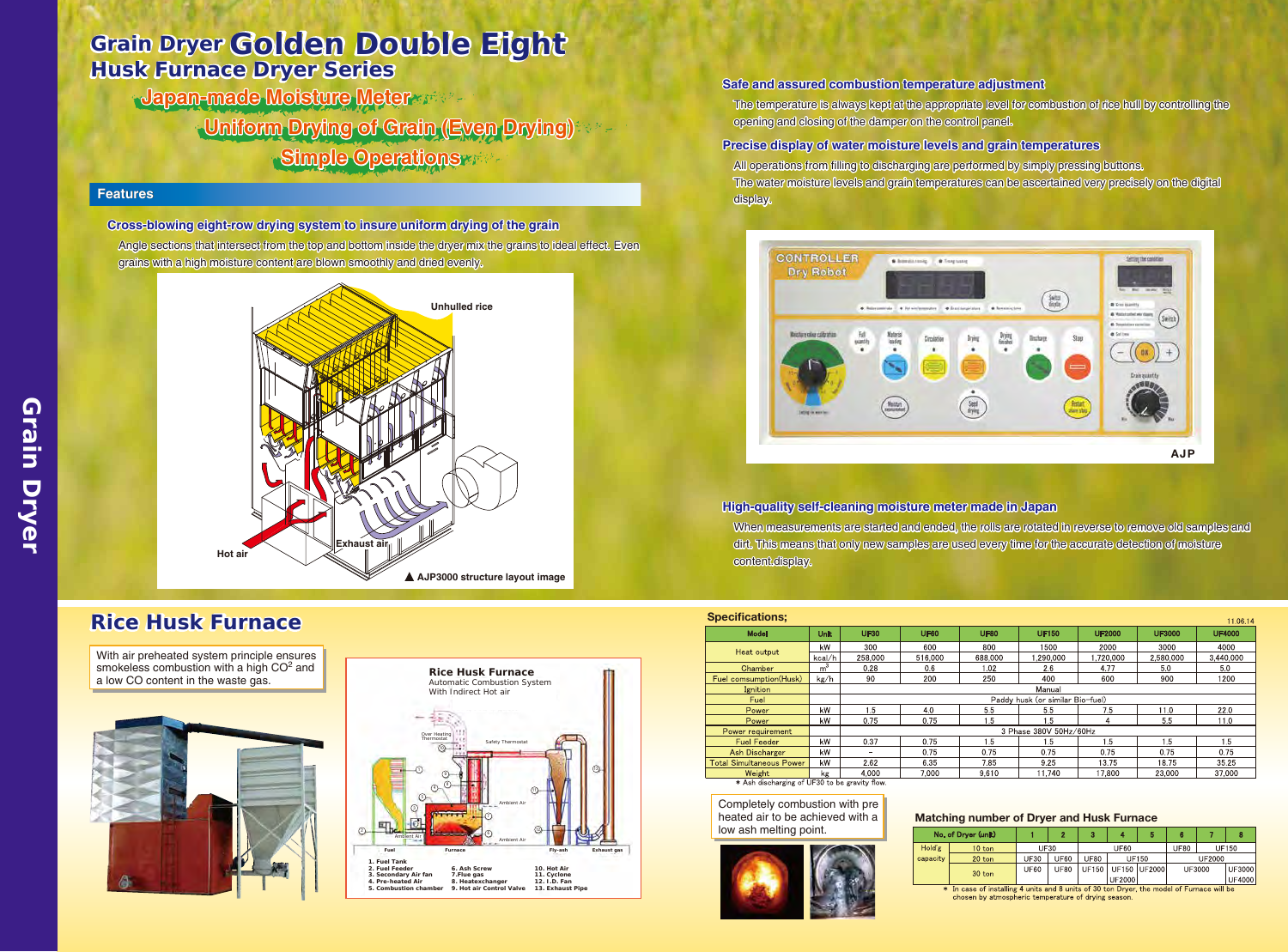| <b>Specifications;</b><br>11.06.14            |                |                                  |             |             |              |               |               |               |
|-----------------------------------------------|----------------|----------------------------------|-------------|-------------|--------------|---------------|---------------|---------------|
| <b>Model</b>                                  | <b>Unit</b>    | <b>UF30</b>                      | <b>UF60</b> | <b>UF80</b> | <b>UF150</b> | <b>UF2000</b> | <b>UF3000</b> | <b>UF4000</b> |
| Heat output                                   | kW             | 300                              | 600         | 800         | 1500         | 2000          | 3000          | 4000          |
|                                               | kcal/h         | 258,000                          | 516.000     | 688,000     | .290.000     | .720.000      | 2.580.000     | 3,440,000     |
| Chamber                                       | m <sup>3</sup> | 0.28                             | 0.6         | 1.02        | 2.6          | 4.77          | 5.0           | 5.0           |
| Fuel comsumption(Husk)                        | kg/h           | 90                               | 200         | 250         | 400          | 600           | 900           | 1200          |
| Ignition                                      |                | Manual                           |             |             |              |               |               |               |
| Fuel                                          |                | Paddy husk (or similar Bio-fuel) |             |             |              |               |               |               |
| Power                                         | kW             | 1.5                              | 4.0         | 5.5         | 5.5          | 7.5           | 11.0          | 22.0          |
| Power                                         | kW             | 0.75                             | 0.75        | 1.5         | 1.5          | 4             | 5.5           | 11.0          |
| Power requirement                             |                | 3 Phase 380V 50Hz/60Hz           |             |             |              |               |               |               |
| <b>Fuel Feeder</b>                            | kW             | 0.37                             | 0.75        | 1.5         | 1.5          | 1.5           | 1.5           | 1.5           |
| <b>Ash Discharger</b>                         | kW             | $\overline{\phantom{0}}$         | 0.75        | 0.75        | 0.75         | 0.75          | 0.75          | 0.75          |
| <b>Total Simultaneous Power</b>               | kW             | 2.62                             | 6.35        | 7.85        | 9.25         | 13.75         | 18.75         | 35.25         |
| Weight                                        | kg             | 4.000                            | 7,000       | 9,610       | 11,740       | 17,800        | 23,000        | 37,000        |
| * Ash discharging of UF30 to be gravity flow. |                |                                  |             |             |              |               |               |               |

### Matching number of Dryer and Husk Furnace

|                              | $\mathbf 2$           | 3           |               | 5            | 6             |         | 8             |  |  |
|------------------------------|-----------------------|-------------|---------------|--------------|---------------|---------|---------------|--|--|
| <b>UF30</b>                  |                       | <b>UF60</b> |               |              | <b>UF80</b>   | UF150   |               |  |  |
| <b>UF30</b>                  | <b>UF60</b>           | <b>UF80</b> |               | UF150        | <b>UF2000</b> |         |               |  |  |
| <b>UF60</b>                  | <b>UF80</b>           | UF150       |               | UF150 UF2000 | UF3000        |         | <b>UF3000</b> |  |  |
|                              |                       |             | <b>UF2000</b> |              |               |         | <b>UF4000</b> |  |  |
| <b>ALC</b><br>$\overline{ }$ | $\sim$<br><b>A.M.</b> | 0.001       | $\sqrt{2}$    |              | .             | 2011.11 |               |  |  |

\* In case of installing 4 units and 8 units of 30 ton Dryer, the model of Furnace will be chosen by atmospheric temperature of drying season.

# *Grain Dryer Golden Double Eight Husk Furnace Dryer Series*

Angle sections that intersect from the top and bottom inside the dryer mix the grains to ideal effect. Even

When measurements are started and ended, the rolls are rotated in reverse to remove old samples and dirt. This means that only new samples are used every time for the accurate detection of moisture content.display. **High-quality self-cleaning moisture meter made in Japan**

- The temperature is always kept at the appropriate level for combustion of rice hull by controlling the opening and closing of the damper on the control panel.
- All operations from filling to discharging are performed by simply pressing buttons. The water moisture levels and grain temperatures can be ascertained very precisely on the digital display. **Precise display of water moisture levels and grain temperatures**

With air preheated system principle ensures smokeless combustion with a high  $CO<sup>2</sup>$  and

### **Safe and assured combustion temperature adjustment**

**Cross-blowing eight-row drying system to insure uniform drying of the grain**

## *Rice Husk Furnace*

**Japan-made Moisture Meter Simple Operations Uniform Drying of Grain (Even Drying)**



Completely combustion with pre heated air to be achieved with a low ash melting point.



## No. of Dryer (unit)

Hold'g  $10<sub>tor</sub>$ capacit:  $20$  tor  $30$  ton





### **Features**